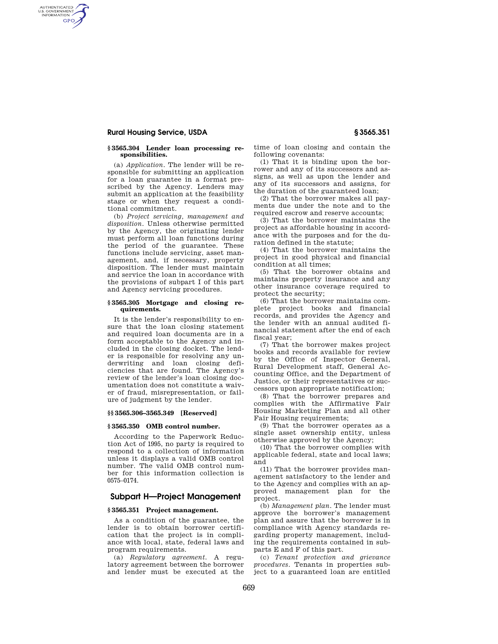# **Rural Housing Service, USDA § 3565.351**

AUTHENTICATED<br>U.S. GOVERNMENT<br>INFORMATION **GPO** 

#### **§ 3565.304 Lender loan processing responsibilities.**

(a) *Application.* The lender will be responsible for submitting an application for a loan guarantee in a format prescribed by the Agency. Lenders may submit an application at the feasibility stage or when they request a conditional commitment.

(b) *Project servicing, management and disposition.* Unless otherwise permitted by the Agency, the originating lender must perform all loan functions during the period of the guarantee. These functions include servicing, asset management, and, if necessary, property disposition. The lender must maintain and service the loan in accordance with the provisions of subpart I of this part and Agency servicing procedures.

#### **§ 3565.305 Mortgage and closing requirements.**

It is the lender's responsibility to ensure that the loan closing statement and required loan documents are in a form acceptable to the Agency and included in the closing docket. The lender is responsible for resolving any underwriting and loan closing deficiencies that are found. The Agency's review of the lender's loan closing documentation does not constitute a waiver of fraud, misrepresentation, or failure of judgment by the lender.

## **§§ 3565.306–3565.349 [Reserved]**

## **§ 3565.350 OMB control number.**

According to the Paperwork Reduction Act of 1995, no party is required to respond to a collection of information unless it displays a valid OMB control number. The valid OMB control number for this information collection is 0575–0174.

# **Subpart H—Project Management**

## **§ 3565.351 Project management.**

As a condition of the guarantee, the lender is to obtain borrower certification that the project is in compliance with local, state, federal laws and program requirements.

(a) *Regulatory agreement.* A regulatory agreement between the borrower and lender must be executed at the

time of loan closing and contain the following covenants:

(1) That it is binding upon the borrower and any of its successors and assigns, as well as upon the lender and any of its successors and assigns, for the duration of the guaranteed loan;

(2) That the borrower makes all payments due under the note and to the required escrow and reserve accounts;

(3) That the borrower maintains the project as affordable housing in accordance with the purposes and for the duration defined in the statute;

(4) That the borrower maintains the project in good physical and financial condition at all times;

(5) That the borrower obtains and maintains property insurance and any other insurance coverage required to protect the security;

(6) That the borrower maintains complete project books and financial records, and provides the Agency and the lender with an annual audited financial statement after the end of each fiscal year;

(7) That the borrower makes project books and records available for review by the Office of Inspector General, Rural Development staff, General Accounting Office, and the Department of Justice, or their representatives or successors upon appropriate notification;

(8) That the borrower prepares and complies with the Affirmative Fair Housing Marketing Plan and all other Fair Housing requirements;

(9) That the borrower operates as a single asset ownership entity, unless otherwise approved by the Agency;

(10) That the borrower complies with applicable federal, state and local laws; and

(11) That the borrower provides management satisfactory to the lender and to the Agency and complies with an approved management plan for the project.

(b) *Management plan.* The lender must approve the borrower's management plan and assure that the borrower is in compliance with Agency standards regarding property management, including the requirements contained in subparts E and F of this part.

(c) *Tenant protection and grievance procedures.* Tenants in properties subject to a guaranteed loan are entitled